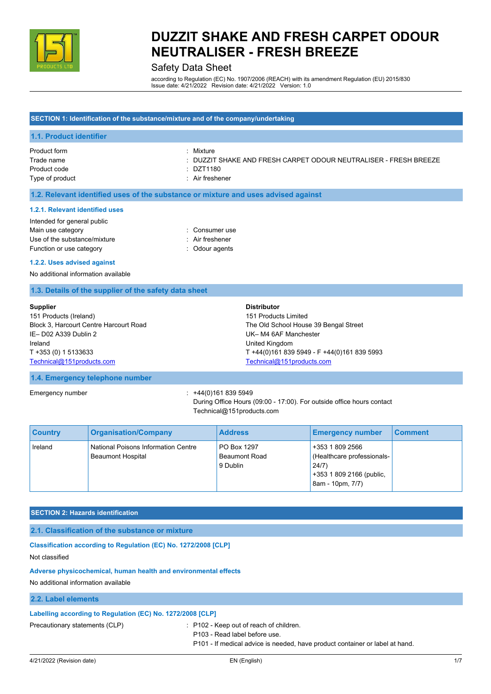

### Safety Data Sheet

according to Regulation (EC) No. 1907/2006 (REACH) with its amendment Regulation (EU) 2015/830 Issue date: 4/21/2022 Revision date: 4/21/2022 Version: 1.0

#### **SECTION 1: Identification of the substance/mixture and of the company/undertaking**

#### **1.1. Product identifier**

| Product form    | Mixture                                                          |
|-----------------|------------------------------------------------------------------|
| Trade name      | : DUZZIT SHAKE AND FRESH CARPET ODOUR NEUTRALISER - FRESH BREEZE |
| Product code    | : DZT1180                                                        |
| Type of product | : Air freshener                                                  |

#### **1.2. Relevant identified uses of the substance or mixture and uses advised against**

#### **1.2.1. Relevant identified uses**

| : Consumer use  |
|-----------------|
| : Air freshener |
| : Odour agents  |
|                 |

#### **1.2.2. Uses advised against**

No additional information available

#### **1.3. Details of the supplier of the safety data sheet**

| Supplier                               | <b>Distributor</b>                          |
|----------------------------------------|---------------------------------------------|
| 151 Products (Ireland)                 | 151 Products Limited                        |
| Block 3, Harcourt Centre Harcourt Road | The Old School House 39 Bengal Street       |
| IE-D02 A339 Dublin 2                   | UK-M4 6AF Manchester                        |
| Ireland                                | United Kingdom                              |
| T +353 (0) 1 5133633                   | T +44(0)161 839 5949 - F +44(0)161 839 5993 |
| Technical@151products.com              | Technical@151products.com                   |

#### **1.4. Emergency telephone number**

Emergency number : +44(0)161 839 5949

During Office Hours (09:00 - 17:00). For outside office hours contact Technical@151products.com

| <b>Country</b> | <b>Organisation/Company</b>                                     | <b>Address</b>                                  | <b>Emergency number</b>                                                                                | <b>Comment</b> |
|----------------|-----------------------------------------------------------------|-------------------------------------------------|--------------------------------------------------------------------------------------------------------|----------------|
| Ireland        | National Poisons Information Centre<br><b>Beaumont Hospital</b> | PO Box 1297<br><b>Beaumont Road</b><br>9 Dublin | +353 1 809 2566<br>(Healthcare professionals-<br>24/7)<br>+353 1 809 2166 (public,<br>8am - 10pm, 7/7) |                |

#### **SECTION 2: Hazards identification**

**2.1. Classification of the substance or mixture**

**Classification according to Regulation (EC) No. 1272/2008 [CLP]** Not classified

#### **Adverse physicochemical, human health and environmental effects**

No additional information available

#### **2.2. Label elements**

#### **Labelling according to Regulation (EC) No. 1272/2008 [CLP]**

Precautionary statements (CLP) : P102 - Keep out of reach of children.

P103 - Read label before use.

P101 - If medical advice is needed, have product container or label at hand.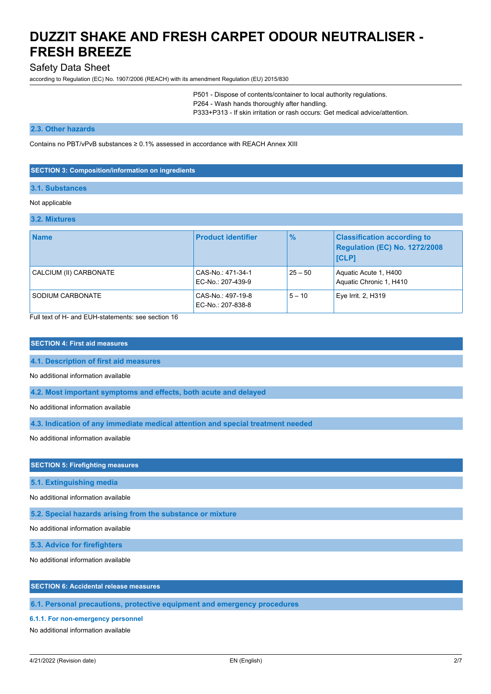EC-No.: 207-838-8

### Safety Data Sheet

according to Regulation (EC) No. 1907/2006 (REACH) with its amendment Regulation (EU) 2015/830

P501 - Dispose of contents/container to local authority regulations. P264 - Wash hands thoroughly after handling. P333+P313 - If skin irritation or rash occurs: Get medical advice/attention.

**Regulation (EC) No. 1272/2008**

5 – 10 Eye Irrit. 2, H319

#### **2.3. Other hazards**

Contains no PBT/vPvB substances  $\geq 0.1\%$  assessed in accordance with REACH Annex XIII

#### **SECTION 3: Composition/information on ingredients**

#### **3.1. Substances**

#### Not applicable

# **3.2. Mixtures**

| <b>Name</b>            | <b>Product identifier</b>              | $\frac{9}{6}$ | <b>Classification according to</b><br>Regulation (EC) No. 1272/2<br><b>ICLP1</b> |
|------------------------|----------------------------------------|---------------|----------------------------------------------------------------------------------|
| CALCIUM (II) CARBONATE | CAS-No.: 471-34-1<br>EC-No.: 207-439-9 | $25 - 50$     | Aquatic Acute 1, H400<br>Aquatic Chronic 1, H410                                 |

Full text of H- and EUH-statements: see section 16

#### **SECTION 4: First aid measures**

**4.1. Description of first aid measures**

No additional information available

**4.2. Most important symptoms and effects, both acute and delayed**

SODIUM CARBONATE CAS-No.: 497-19-8

No additional information available

**4.3. Indication of any immediate medical attention and special treatment needed**

No additional information available

#### **SECTION 5: Firefighting measures**

**5.1. Extinguishing media**

No additional information available

**5.2. Special hazards arising from the substance or mixture**

No additional information available

**5.3. Advice for firefighters**

No additional information available

#### **SECTION 6: Accidental release measures**

**6.1. Personal precautions, protective equipment and emergency procedures**

#### **6.1.1. For non-emergency personnel**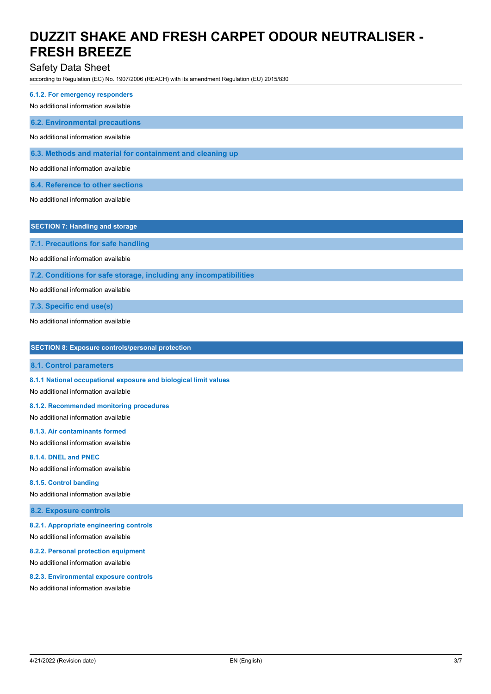### Safety Data Sheet

according to Regulation (EC) No. 1907/2006 (REACH) with its amendment Regulation (EU) 2015/830

**6.1.2. For emergency responders**

No additional information available

**6.2. Environmental precautions**

No additional information available

**6.3. Methods and material for containment and cleaning up**

No additional information available

**6.4. Reference to other sections**

No additional information available

**SECTION 7: Handling and storage**

**7.1. Precautions for safe handling**

No additional information available

**7.2. Conditions for safe storage, including any incompatibilities**

No additional information available

**7.3. Specific end use(s)**

No additional information available

| <b>SECTION 8: Exposure controls/personal protection</b> |  |  |  |
|---------------------------------------------------------|--|--|--|
|---------------------------------------------------------|--|--|--|

**8.1. Control parameters**

**8.1.1 National occupational exposure and biological limit values**

No additional information available

#### **8.1.2. Recommended monitoring procedures**

No additional information available

### **8.1.3. Air contaminants formed**

No additional information available

#### **8.1.4. DNEL and PNEC**

No additional information available

#### **8.1.5. Control banding**

No additional information available

**8.2. Exposure controls**

#### **8.2.1. Appropriate engineering controls**

No additional information available

#### **8.2.2. Personal protection equipment**

No additional information available

#### **8.2.3. Environmental exposure controls**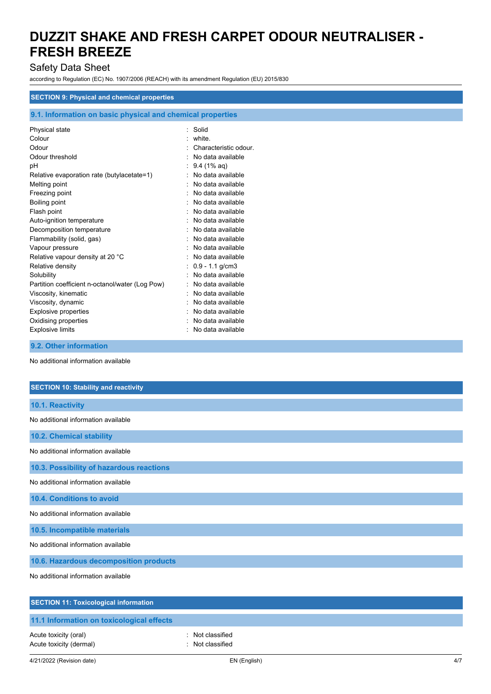## Safety Data Sheet

according to Regulation (EC) No. 1907/2006 (REACH) with its amendment Regulation (EU) 2015/830

#### **SECTION 9: Physical and chemical properties**

### **9.1. Information on basic physical and chemical properties**

| Physical state                                  | Solid<br>٠            |
|-------------------------------------------------|-----------------------|
| Colour                                          | white.                |
| Odour                                           | Characteristic odour. |
| Odour threshold                                 | No data available     |
| рH                                              | $9.4(1\% \text{ aq})$ |
| Relative evaporation rate (butylacetate=1)      | No data available     |
| Melting point                                   | No data available     |
| Freezing point                                  | No data available     |
| Boiling point                                   | No data available     |
| Flash point                                     | No data available     |
| Auto-ignition temperature                       | No data available     |
| Decomposition temperature                       | No data available     |
| Flammability (solid, gas)                       | No data available     |
| Vapour pressure                                 | No data available     |
| Relative vapour density at 20 °C                | No data available     |
| Relative density                                | $0.9 - 1.1$ g/cm3     |
| Solubility                                      | No data available     |
| Partition coefficient n-octanol/water (Log Pow) | No data available     |
| Viscosity, kinematic                            | No data available     |
| Viscosity, dynamic                              | No data available     |
| <b>Explosive properties</b>                     | No data available     |
| Oxidising properties                            | No data available     |
| <b>Explosive limits</b>                         | No data available     |
|                                                 |                       |

**9.2. Other information**

| <b>SECTION 10: Stability and reactivity</b>  |
|----------------------------------------------|
| 10.1. Reactivity                             |
| No additional information available          |
| 10.2. Chemical stability                     |
| No additional information available          |
| 10.3. Possibility of hazardous reactions     |
| No additional information available          |
| 10.4. Conditions to avoid                    |
| No additional information available          |
| 10.5. Incompatible materials                 |
| No additional information available          |
| 10.6. Hazardous decomposition products       |
| No additional information available          |
| <b>SECTION 11: Toxicological information</b> |
| 11.1 Information on toxicological effects    |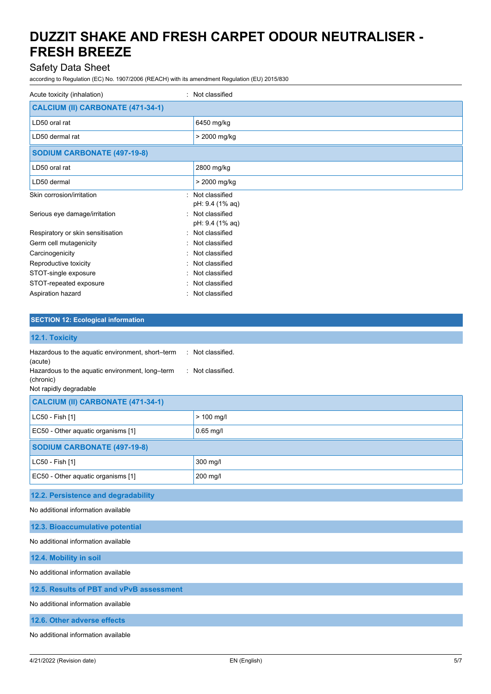### Safety Data Sheet

according to Regulation (EC) No. 1907/2006 (REACH) with its amendment Regulation (EU) 2015/830

| Acute toxicity (inhalation)        | : Not classified                                     |
|------------------------------------|------------------------------------------------------|
| CALCIUM (II) CARBONATE (471-34-1)  |                                                      |
| LD50 oral rat                      | 6450 mg/kg                                           |
| LD50 dermal rat                    | > 2000 mg/kg                                         |
| <b>SODIUM CARBONATE (497-19-8)</b> |                                                      |
| LD50 oral rat                      | 2800 mg/kg                                           |
| LD50 dermal                        | > 2000 mg/kg                                         |
| Skin corrosion/irritation          | : Not classified                                     |
| Serious eye damage/irritation      | pH: 9.4 (1% aq)<br>Not classified<br>pH: 9.4 (1% aq) |
| Respiratory or skin sensitisation  | : Not classified                                     |
| Germ cell mutagenicity             | : Not classified                                     |
| Carcinogenicity                    | Not classified                                       |
| Reproductive toxicity              | Not classified                                       |
| STOT-single exposure               | Not classified                                       |
| STOT-repeated exposure             | Not classified                                       |
| Aspiration hazard                  | Not classified                                       |

#### **SECTION 12: Ecological information**

| 12.1. Toxicity                                                                                                                                        |                                      |  |
|-------------------------------------------------------------------------------------------------------------------------------------------------------|--------------------------------------|--|
| Hazardous to the aquatic environment, short-term<br>(acute)<br>Hazardous to the aquatic environment, long-term<br>(chronic)<br>Not rapidly degradable | : Not classified.<br>Not classified. |  |
| CALCIUM (II) CARBONATE (471-34-1)                                                                                                                     |                                      |  |
| LC50 - Fish [1]                                                                                                                                       | > 100 mg/l                           |  |
| EC50 - Other aquatic organisms [1]                                                                                                                    | $0.65$ mg/l                          |  |
| <b>SODIUM CARBONATE (497-19-8)</b>                                                                                                                    |                                      |  |
| LC50 - Fish [1]                                                                                                                                       | 300 mg/l                             |  |
| EC50 - Other aquatic organisms [1]                                                                                                                    | 200 mg/l                             |  |
| 12.2. Persistence and degradability                                                                                                                   |                                      |  |
| No additional information available                                                                                                                   |                                      |  |
| 12.3. Bioaccumulative potential                                                                                                                       |                                      |  |
| No additional information available                                                                                                                   |                                      |  |

**12.4. Mobility in soil**

No additional information available

#### **12.5. Results of PBT and vPvB assessment**

No additional information available

**12.6. Other adverse effects**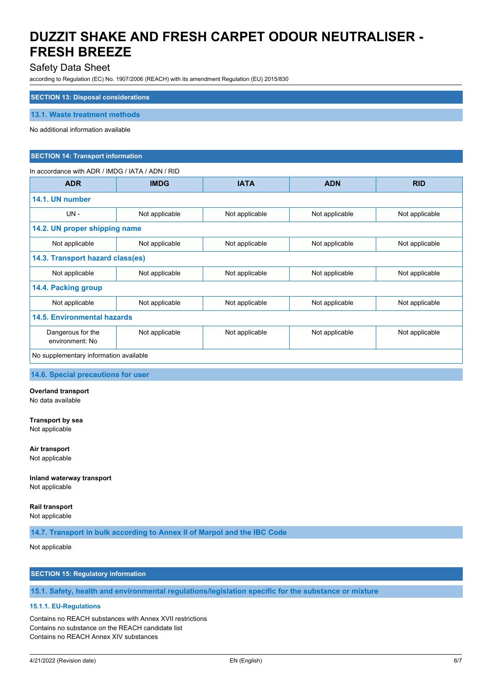### Safety Data Sheet

according to Regulation (EC) No. 1907/2006 (REACH) with its amendment Regulation (EU) 2015/830

#### **SECTION 13: Disposal considerations**

**13.1. Waste treatment methods**

No additional information available

#### **SECTION 14: Transport information**

#### In accordance with ADR / IMDG / IATA / ADN / RID

| <b>ADR</b>                             | <b>IMDG</b>    | <b>IATA</b>    | <b>ADN</b>     | <b>RID</b>     |
|----------------------------------------|----------------|----------------|----------------|----------------|
| 14.1. UN number                        |                |                |                |                |
| UN -                                   | Not applicable | Not applicable | Not applicable | Not applicable |
| 14.2. UN proper shipping name          |                |                |                |                |
| Not applicable                         | Not applicable | Not applicable | Not applicable | Not applicable |
| 14.3. Transport hazard class(es)       |                |                |                |                |
| Not applicable                         | Not applicable | Not applicable | Not applicable | Not applicable |
| 14.4. Packing group                    |                |                |                |                |
| Not applicable                         | Not applicable | Not applicable | Not applicable | Not applicable |
| 14.5. Environmental hazards            |                |                |                |                |
| Dangerous for the<br>environment: No   | Not applicable | Not applicable | Not applicable | Not applicable |
| No supplementary information available |                |                |                |                |

**14.6. Special precautions for user**

**Overland transport** No data available

**Transport by sea** Not applicable

**Air transport** Not applicable

**Inland waterway transport** Not applicable

**Rail transport**

Not applicable

**14.7. Transport in bulk according to Annex II of Marpol and the IBC Code**

Not applicable

### **SECTION 15: Regulatory information**

**15.1. Safety, health and environmental regulations/legislation specific for the substance or mixture**

### **15.1.1. EU-Regulations**

Contains no REACH substances with Annex XVII restrictions Contains no substance on the REACH candidate list Contains no REACH Annex XIV substances